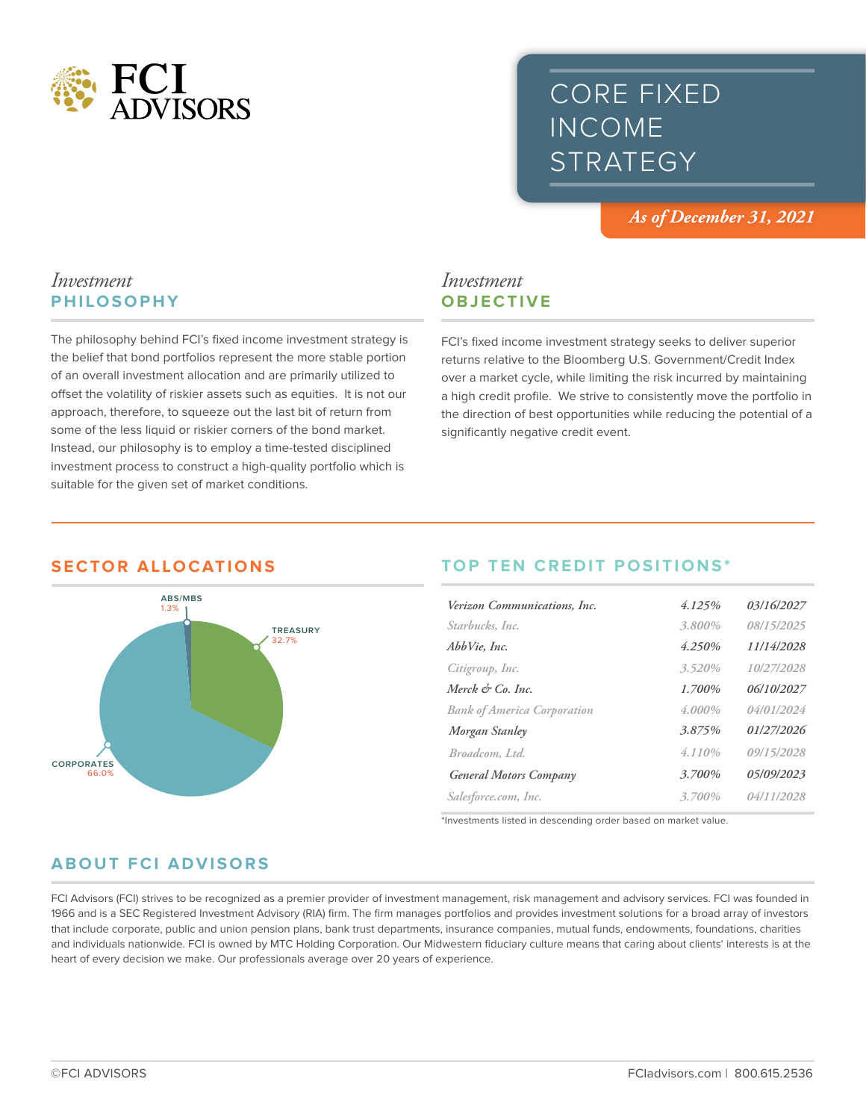

## CORE FIXED INCOME **STRATEGY**

*As of December 31, 2021*

## *Investment* **PHILOSOPHY**

The philosophy behind FCI's fixed income investment strategy is the belief that bond portfolios represent the more stable portion of an overall investment allocation and are primarily utilized to offset the volatility of riskier assets such as equities. It is not our approach, therefore, to squeeze out the last bit of return from some of the less liquid or riskier corners of the bond market. Instead, our philosophy is to employ a time-tested disciplined investment process to construct a high-quality portfolio which is suitable for the given set of market conditions.

# **TREASURY** 32.7% **CORPORATES** 66.0% **ABS/MBS**  1.3%

## *Investment* **OBJECTIVE**

FCI's fixed income investment strategy seeks to deliver superior returns relative to the Bloomberg U.S. Government/Credit Index over a market cycle, while limiting the risk incurred by maintaining a high credit profile. We strive to consistently move the portfolio in the direction of best opportunities while reducing the potential of a significantly negative credit event.

## **SECTOR ALLOCATIONS TOP TEN CREDIT POSITIONS\***

| Verizon Communications, Inc.       | 4.125% | 03/16/2027 |
|------------------------------------|--------|------------|
| Starbucks, Inc.                    | 3.800% | 08/15/2025 |
| AbbVie, Inc.                       | 4.250% | 11/14/2028 |
| Citigroup, Inc.                    | 3.520% | 10/27/2028 |
| Merck & Co. Inc.                   | 1.700% | 06/10/2027 |
| <b>Bank of America Corporation</b> | 4.000% | 04/01/2024 |
| Morgan Stanley                     | 3.875% | 01/27/2026 |
| Broadcom, Ltd.                     | 4.110% | 09/15/2028 |
| <b>General Motors Company</b>      | 3.700% | 05/09/2023 |
| Salesforce.com, Inc.               | 3.700% | 04/11/2028 |

\*Investments listed in descending order based on market value.

## **ABOUT FCI ADVISORS**

FCI Advisors (FCI) strives to be recognized as a premier provider of investment management, risk management and advisory services. FCI was founded in 1966 and is a SEC Registered Investment Advisory (RIA) firm. The firm manages portfolios and provides investment solutions for a broad array of investors that include corporate, public and union pension plans, bank trust departments, insurance companies, mutual funds, endowments, foundations, charities and individuals nationwide. FCI is owned by MTC Holding Corporation. Our Midwestern fiduciary culture means that caring about clients' interests is at the heart of every decision we make. Our professionals average over 20 years of experience.